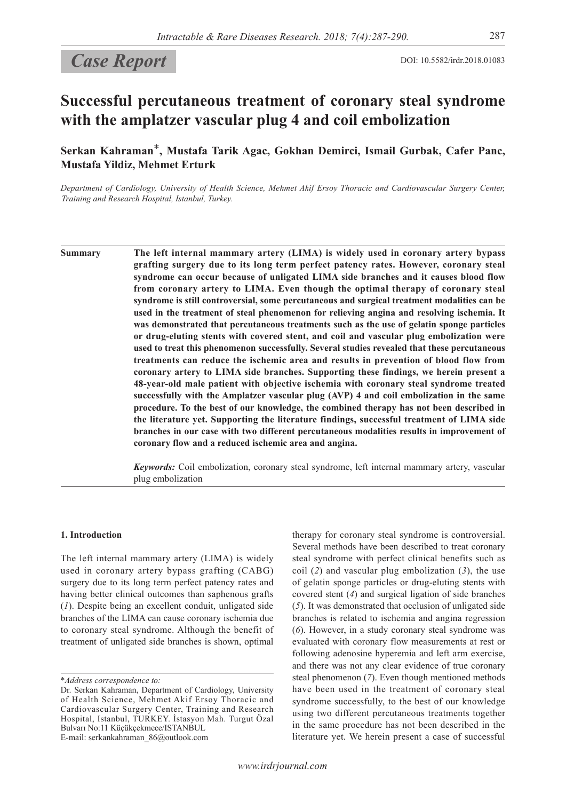# **Case Report** DOI: 10.5582/irdr.2018.01083

## **Successful percutaneous treatment of coronary steal syndrome with the amplatzer vascular plug 4 and coil embolization**

**Serkan Kahraman**\***, Mustafa Tarik Agac, Gokhan Demirci, Ismail Gurbak, Cafer Panc, Mustafa Yildiz, Mehmet Erturk**

*Department of Cardiology, University of Health Science, Mehmet Akif Ersoy Thoracic and Cardiovascular Surgery Center, Training and Research Hospital, Istanbul, Turkey.*

**Summary The left internal mammary artery (LIMA) is widely used in coronary artery bypass grafting surgery due to its long term perfect patency rates. However, coronary steal syndrome can occur because of unligated LIMA side branches and it causes blood flow from coronary artery to LIMA. Even though the optimal therapy of coronary steal syndrome is still controversial, some percutaneous and surgical treatment modalities can be used in the treatment of steal phenomenon for relieving angina and resolving ischemia. It was demonstrated that percutaneous treatments such as the use of gelatin sponge particles or drug-eluting stents with covered stent, and coil and vascular plug embolization were used to treat this phenomenon successfully. Several studies revealed that these percutaneous treatments can reduce the ischemic area and results in prevention of blood flow from coronary artery to LIMA side branches. Supporting these findings, we herein present a 48-year-old male patient with objective ischemia with coronary steal syndrome treated successfully with the Amplatzer vascular plug (AVP) 4 and coil embolization in the same procedure. To the best of our knowledge, the combined therapy has not been described in the literature yet. Supporting the literature findings, successful treatment of LIMA side branches in our case with two different percutaneous modalities results in improvement of coronary flow and a reduced ischemic area and angina.**

> *Keywords:* Coil embolization, coronary steal syndrome, left internal mammary artery, vascular plug embolization

## **1. Introduction**

The left internal mammary artery (LIMA) is widely used in coronary artery bypass grafting (CABG) surgery due to its long term perfect patency rates and having better clinical outcomes than saphenous grafts (*1*). Despite being an excellent conduit, unligated side branches of the LIMA can cause coronary ischemia due to coronary steal syndrome. Although the benefit of treatment of unligated side branches is shown, optimal

E-mail: serkankahraman\_86@outlook.com

therapy for coronary steal syndrome is controversial. Several methods have been described to treat coronary steal syndrome with perfect clinical benefits such as coil (*2*) and vascular plug embolization (*3*), the use of gelatin sponge particles or drug-eluting stents with covered stent (*4*) and surgical ligation of side branches (*5*). It was demonstrated that occlusion of unligated side branches is related to ischemia and angina regression (*6*). However, in a study coronary steal syndrome was evaluated with coronary flow measurements at rest or following adenosine hyperemia and left arm exercise, and there was not any clear evidence of true coronary steal phenomenon (*7*). Even though mentioned methods have been used in the treatment of coronary steal syndrome successfully, to the best of our knowledge using two different percutaneous treatments together in the same procedure has not been described in the literature yet. We herein present a case of successful

<sup>\*</sup>*Address correspondence to:*

Dr. Serkan Kahraman, Department of Cardiology, University of Health Science, Mehmet Akif Ersoy Thoracic and Cardiovascular Surgery Center, Training and Research Hospital, Istanbul, TURKEY. İstasyon Mah. Turgut Özal Bulvarı No:11 Küçükçekmece/ISTANBUL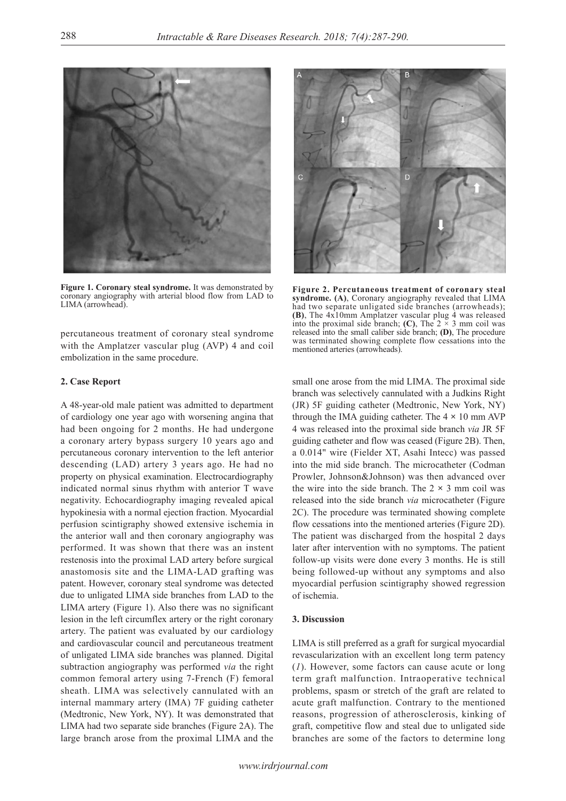

**Figure 1. Coronary steal syndrome.** It was demonstrated by coronary angiography with arterial blood flow from LAD to LIMA (arrowhead).

percutaneous treatment of coronary steal syndrome with the Amplatzer vascular plug (AVP) 4 and coil embolization in the same procedure.

#### **2. Case Report**

A 48-year-old male patient was admitted to department of cardiology one year ago with worsening angina that had been ongoing for 2 months. He had undergone a coronary artery bypass surgery 10 years ago and percutaneous coronary intervention to the left anterior descending (LAD) artery 3 years ago. He had no property on physical examination. Electrocardiography indicated normal sinus rhythm with anterior T wave negativity. Echocardiography imaging revealed apical hypokinesia with a normal ejection fraction. Myocardial perfusion scintigraphy showed extensive ischemia in the anterior wall and then coronary angiography was performed. It was shown that there was an instent restenosis into the proximal LAD artery before surgical anastomosis site and the LIMA-LAD grafting was patent. However, coronary steal syndrome was detected due to unligated LIMA side branches from LAD to the LIMA artery (Figure 1). Also there was no significant lesion in the left circumflex artery or the right coronary artery. The patient was evaluated by our cardiology and cardiovascular council and percutaneous treatment of unligated LIMA side branches was planned. Digital subtraction angiography was performed *via* the right common femoral artery using 7-French (F) femoral sheath. LIMA was selectively cannulated with an internal mammary artery (IMA) 7F guiding catheter (Medtronic, New York, NY). It was demonstrated that LIMA had two separate side branches (Figure 2A). The large branch arose from the proximal LIMA and the



**Figure 2. Percutaneous treatment of coronary steal syndrome. (A)**, Coronary angiography revealed that LIMA had two separate unligated side branches (arrowheads); **(B)**, The 4x10mm Amplatzer vascular plug 4 was released into the proximal side branch; **(C)**, The  $2 \times 3$  mm coil was released into the small caliber side branch; **(D)**, The procedure was terminated showing complete flow cessations into the mentioned arteries (arrowheads).

small one arose from the mid LIMA. The proximal side branch was selectively cannulated with a Judkins Right (JR) 5F guiding catheter (Medtronic, New York, NY) through the IMA guiding catheter. The  $4 \times 10$  mm AVP 4 was released into the proximal side branch *via* JR 5F guiding catheter and flow was ceased (Figure 2B). Then, a 0.014" wire (Fielder XT, Asahi Intecc) was passed into the mid side branch. The microcatheter (Codman Prowler, Johnson&Johnson) was then advanced over the wire into the side branch. The  $2 \times 3$  mm coil was released into the side branch *via* microcatheter (Figure 2C). The procedure was terminated showing complete flow cessations into the mentioned arteries (Figure 2D). The patient was discharged from the hospital 2 days later after intervention with no symptoms. The patient follow-up visits were done every 3 months. He is still being followed-up without any symptoms and also myocardial perfusion scintigraphy showed regression of ischemia.

## **3. Discussion**

LIMA is still preferred as a graft for surgical myocardial revascularization with an excellent long term patency (*1*). However, some factors can cause acute or long term graft malfunction. Intraoperative technical problems, spasm or stretch of the graft are related to acute graft malfunction. Contrary to the mentioned reasons, progression of atherosclerosis, kinking of graft, competitive flow and steal due to unligated side branches are some of the factors to determine long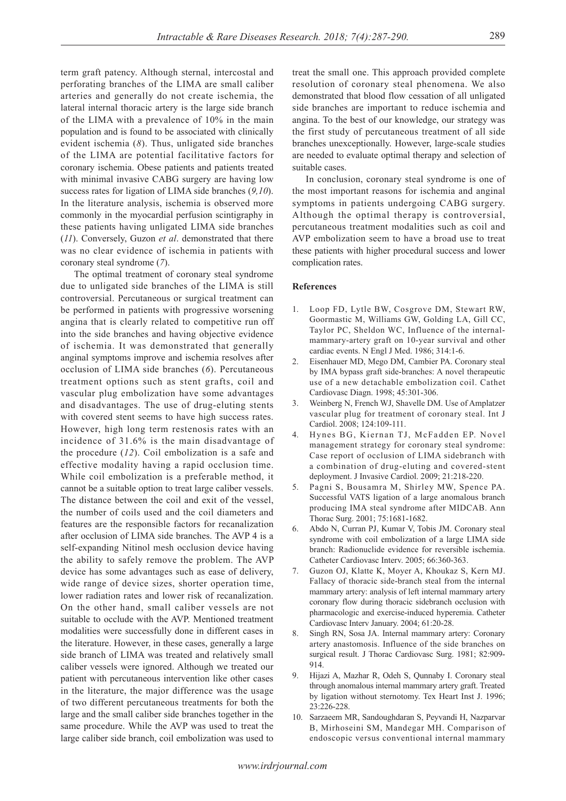term graft patency. Although sternal, intercostal and perforating branches of the LIMA are small caliber arteries and generally do not create ischemia, the lateral internal thoracic artery is the large side branch of the LIMA with a prevalence of 10% in the main population and is found to be associated with clinically evident ischemia (*8*). Thus, unligated side branches of the LIMA are potential facilitative factors for coronary ischemia. Obese patients and patients treated with minimal invasive CABG surgery are having low success rates for ligation of LIMA side branches (*9,10*). In the literature analysis, ischemia is observed more commonly in the myocardial perfusion scintigraphy in these patients having unligated LIMA side branches (*11*). Conversely, Guzon *et al*. demonstrated that there was no clear evidence of ischemia in patients with coronary steal syndrome (*7*).

The optimal treatment of coronary steal syndrome due to unligated side branches of the LIMA is still controversial. Percutaneous or surgical treatment can be performed in patients with progressive worsening angina that is clearly related to competitive run off into the side branches and having objective evidence of ischemia. It was demonstrated that generally anginal symptoms improve and ischemia resolves after occlusion of LIMA side branches (*6*). Percutaneous treatment options such as stent grafts, coil and vascular plug embolization have some advantages and disadvantages. The use of drug-eluting stents with covered stent seems to have high success rates. However, high long term restenosis rates with an incidence of 31.6% is the main disadvantage of the procedure (*12*). Coil embolization is a safe and effective modality having a rapid occlusion time. While coil embolization is a preferable method, it cannot be a suitable option to treat large caliber vessels. The distance between the coil and exit of the vessel, the number of coils used and the coil diameters and features are the responsible factors for recanalization after occlusion of LIMA side branches. The AVP 4 is a self-expanding Nitinol mesh occlusion device having the ability to safely remove the problem. The AVP device has some advantages such as ease of delivery, wide range of device sizes, shorter operation time, lower radiation rates and lower risk of recanalization. On the other hand, small caliber vessels are not suitable to occlude with the AVP. Mentioned treatment modalities were successfully done in different cases in the literature. However, in these cases, generally a large side branch of LIMA was treated and relatively small caliber vessels were ignored. Although we treated our patient with percutaneous intervention like other cases in the literature, the major difference was the usage of two different percutaneous treatments for both the large and the small caliber side branches together in the same procedure. While the AVP was used to treat the large caliber side branch, coil embolization was used to

treat the small one. This approach provided complete resolution of coronary steal phenomena. We also demonstrated that blood flow cessation of all unligated side branches are important to reduce ischemia and angina. To the best of our knowledge, our strategy was the first study of percutaneous treatment of all side branches unexceptionally. However, large-scale studies are needed to evaluate optimal therapy and selection of suitable cases.

In conclusion, coronary steal syndrome is one of the most important reasons for ischemia and anginal symptoms in patients undergoing CABG surgery. Although the optimal therapy is controversial, percutaneous treatment modalities such as coil and AVP embolization seem to have a broad use to treat these patients with higher procedural success and lower complication rates.

#### **References**

- 1. Loop FD, Lytle BW, Cosgrove DM, Stewart RW, Goormastic M, Williams GW, Golding LA, Gill CC, Taylor PC, Sheldon WC, Influence of the internalmammary-artery graft on 10-year survival and other cardiac events. N Engl J Med. 1986; 314:1-6.
- 2. Eisenhauer MD, Mego DM, Cambier PA. Coronary steal by IMA bypass graft side-branches: A novel therapeutic use of a new detachable embolization coil. Cathet Cardiovasc Diagn. 1998; 45:301-306.
- 3. Weinberg N, French WJ, Shavelle DM. Use of Amplatzer vascular plug for treatment of coronary steal. Int J Cardiol. 2008; 124:109-111.
- 4. Hynes BG, Kiernan TJ, McFadden EP. Novel management strategy for coronary steal syndrome: Case report of occlusion of LIMA sidebranch with a combination of drug-eluting and covered-stent deployment. J Invasive Cardiol. 2009; 21:218-220.
- 5. Pagni S, Bousamra M, Shirley MW, Spence PA. Successful VATS ligation of a large anomalous branch producing IMA steal syndrome after MIDCAB. Ann Thorac Surg. 2001; 75:1681-1682.
- 6. Abdo N, Curran PJ, Kumar V, Tobis JM. Coronary steal syndrome with coil embolization of a large LIMA side branch: Radionuclide evidence for reversible ischemia. Catheter Cardiovasc Interv. 2005; 66:360-363.
- Guzon OJ, Klatte K, Moyer A, Khoukaz S, Kern MJ. Fallacy of thoracic side-branch steal from the internal mammary artery: analysis of left internal mammary artery coronary flow during thoracic sidebranch occlusion with pharmacologic and exercise-induced hyperemia. Catheter Cardiovasc Interv January. 2004; 61:20-28.
- Singh RN, Sosa JA. Internal mammary artery: Coronary artery anastomosis. Influence of the side branches on surgical result. J Thorac Cardiovasc Surg. 1981; 82:909- 914.
- 9. Hijazi A, Mazhar R, Odeh S, Qunnaby I. Coronary steal through anomalous internal mammary artery graft. Treated by ligation without sternotomy. Tex Heart Inst J. 1996; 23:226-228.
- 10. Sarzaeem MR, Sandoughdaran S, Peyvandi H, Nazparvar B, Mirhoseini SM, Mandegar MH. Comparison of endoscopic versus conventional internal mammary